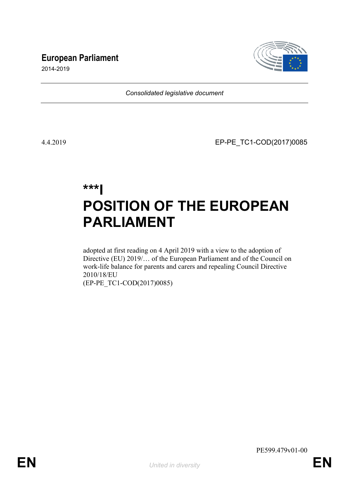# **European Parliament**



2014-2019

*Consolidated legislative document*

4.4.2019 EP-PE\_TC1-COD(2017)0085

# **\*\*\*I POSITION OF THE EUROPEAN PARLIAMENT**

adopted at first reading on 4 April 2019 with a view to the adoption of Directive (EU) 2019/… of the European Parliament and of the Council on work-life balance for parents and carers and repealing Council Directive 2010/18/EU (EP-PE\_TC1-COD(2017)0085)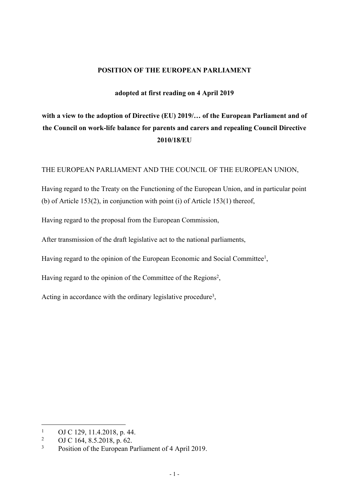# **POSITION OF THE EUROPEAN PARLIAMENT**

# **adopted at first reading on 4 April 2019**

# **with a view to the adoption of Directive (EU) 2019/… of the European Parliament and of the Council on work-life balance for parents and carers and repealing Council Directive 2010/18/EU**

#### THE EUROPEAN PARLIAMENT AND THE COUNCIL OF THE EUROPEAN UNION,

Having regard to the Treaty on the Functioning of the European Union, and in particular point (b) of Article 153(2), in conjunction with point (i) of Article 153(1) thereof,

Having regard to the proposal from the European Commission,

After transmission of the draft legislative act to the national parliaments,

Having regard to the opinion of the European Economic and Social Committee<sup>1</sup>,

Having regard to the opinion of the Committee of the Regions<sup>2</sup>,

Acting in accordance with the ordinary legislative procedure<sup>3</sup>,

<sup>1</sup> OJ C 129, 11.4.2018, p. 44.

<sup>2</sup> OJ C 164, 8.5.2018, p. 62.

<sup>3</sup> Position of the European Parliament of 4 April 2019.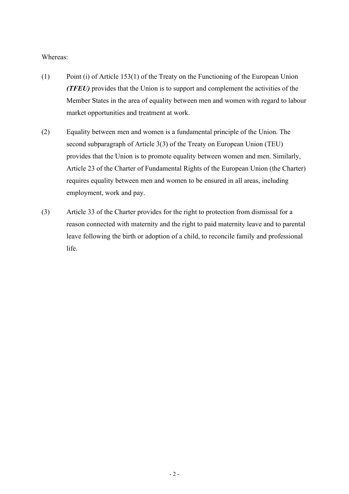# Whereas:

- (1) Point (i) of Article 153(1) of the Treaty on the Functioning of the European Union *(TFEU)* provides that the Union is to support and complement the activities of the Member States in the area of equality between men and women with regard to labour market opportunities and treatment at work.
- (2) Equality between men and women is a fundamental principle of the Union. The second subparagraph of Article 3(3) of the Treaty on European Union (TEU) provides that the Union is to promote equality between women and men. Similarly, Article 23 of the Charter of Fundamental Rights of the European Union (the Charter) requires equality between men and women to be ensured in all areas, including employment, work and pay.
- (3) Article 33 of the Charter provides for the right to protection from dismissal for a reason connected with maternity and the right to paid maternity leave and to parental leave following the birth or adoption of a child, to reconcile family and professional life.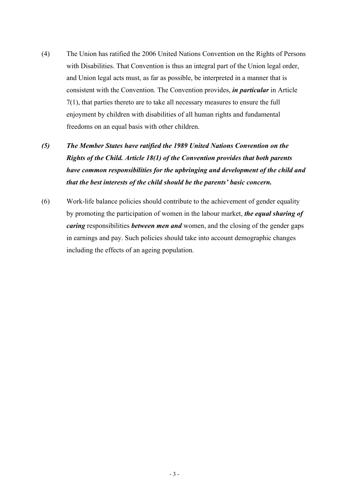- (4) The Union has ratified the 2006 United Nations Convention on the Rights of Persons with Disabilities. That Convention is thus an integral part of the Union legal order, and Union legal acts must, as far as possible, be interpreted in a manner that is consistent with the Convention. The Convention provides, *in particular* in Article 7(1), that parties thereto are to take all necessary measures to ensure the full enjoyment by children with disabilities of all human rights and fundamental freedoms on an equal basis with other children.
- *(5) The Member States have ratified the 1989 United Nations Convention on the Rights of the Child. Article 18(1) of the Convention provides that both parents have common responsibilities for the upbringing and development of the child and that the best interests of the child should be the parents' basic concern.*
- (6) Work-life balance policies should contribute to the achievement of gender equality by promoting the participation of women in the labour market, *the equal sharing of caring* responsibilities *between men and* women, and the closing of the gender gaps in earnings and pay. Such policies should take into account demographic changes including the effects of an ageing population.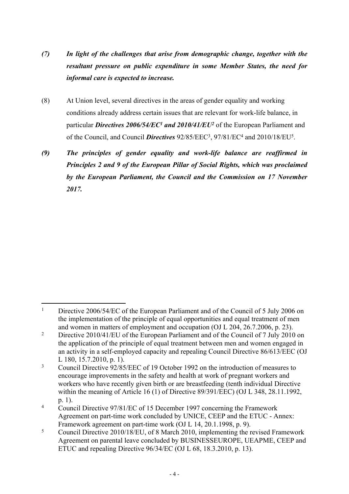- *(7) In light of the challenges that arise from demographic change, together with the resultant pressure on public expenditure in some Member States, the need for informal care is expected to increase.*
- (8) At Union level, several directives in the areas of gender equality and working conditions already address certain issues that are relevant for work-life balance, in particular *Directives 2006/54/EC<sup>1</sup> and 2010/41/EU*<sup>2</sup> of the European Parliament and of the Council, and Council *Directives* 92/85/EEC<sup>3</sup>, 97/81/EC<sup>4</sup> and 2010/18/EU<sup>5</sup>.
- *(9) The principles of gender equality and work-life balance are reaffirmed in Principles 2 and 9 of the European Pillar of Social Rights, which was proclaimed by the European Parliament, the Council and the Commission on 17 November 2017.*

<sup>1</sup> Directive 2006/54/EC of the European Parliament and of the Council of 5 July 2006 on the implementation of the principle of equal opportunities and equal treatment of men and women in matters of employment and occupation (OJ L 204, 26.7.2006, p. 23).

<sup>2</sup> Directive 2010/41/EU of the European Parliament and of the Council of 7 July 2010 on the application of the principle of equal treatment between men and women engaged in an activity in a self-employed capacity and repealing Council Directive 86/613/EEC (OJ L 180, 15.7.2010, p. 1).

<sup>3</sup> Council Directive 92/85/EEC of 19 October 1992 on the introduction of measures to encourage improvements in the safety and health at work of pregnant workers and workers who have recently given birth or are breastfeeding (tenth individual Directive within the meaning of Article 16 (1) of Directive 89/391/EEC) (OJ L 348, 28.11.1992, p. 1).

<sup>4</sup> Council Directive 97/81/EC of 15 December 1997 concerning the Framework Agreement on part-time work concluded by UNICE, CEEP and the ETUC - Annex: Framework agreement on part-time work (OJ L 14, 20.1.1998, p. 9).

<sup>5</sup> Council Directive 2010/18/EU, of 8 March 2010, implementing the revised Framework Agreement on parental leave concluded by BUSINESSEUROPE, UEAPME, CEEP and ETUC and repealing Directive 96/34/EC (OJ L 68, 18.3.2010, p. 13).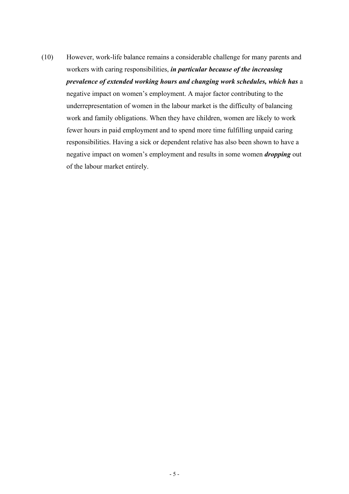(10) However, work-life balance remains a considerable challenge for many parents and workers with caring responsibilities, *in particular because of the increasing prevalence of extended working hours and changing work schedules, which has* a negative impact on women's employment. A major factor contributing to the underrepresentation of women in the labour market is the difficulty of balancing work and family obligations. When they have children, women are likely to work fewer hours in paid employment and to spend more time fulfilling unpaid caring responsibilities. Having a sick or dependent relative has also been shown to have a negative impact on women's employment and results in some women *dropping* out of the labour market entirely.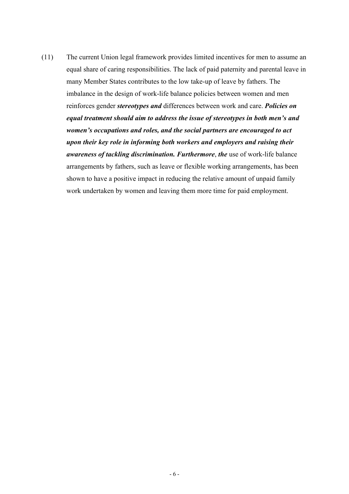(11) The current Union legal framework provides limited incentives for men to assume an equal share of caring responsibilities. The lack of paid paternity and parental leave in many Member States contributes to the low take-up of leave by fathers. The imbalance in the design of work-life balance policies between women and men reinforces gender *stereotypes and* differences between work and care. *Policies on equal treatment should aim to address the issue of stereotypes in both men's and women's occupations and roles, and the social partners are encouraged to act upon their key role in informing both workers and employers and raising their awareness of tackling discrimination. Furthermore*, *the* use of work-life balance arrangements by fathers, such as leave or flexible working arrangements, has been shown to have a positive impact in reducing the relative amount of unpaid family work undertaken by women and leaving them more time for paid employment.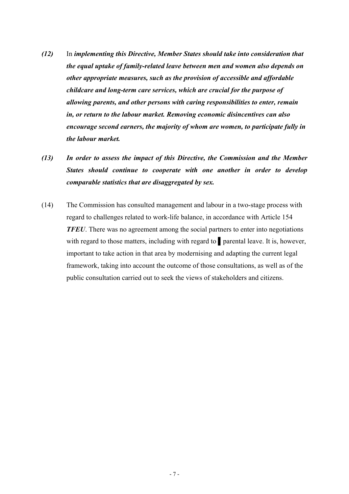- *(12)* In *implementing this Directive, Member States should take into consideration that the equal uptake of family-related leave between men and women also depends on other appropriate measures, such as the provision of accessible and affordable childcare and long-term care services, which are crucial for the purpose of allowing parents, and other persons with caring responsibilities to enter, remain in, or return to the labour market. Removing economic disincentives can also encourage second earners, the majority of whom are women, to participate fully in the labour market.*
- *(13) In order to assess the impact of this Directive, the Commission and the Member States should continue to cooperate with one another in order to develop comparable statistics that are disaggregated by sex.*
- (14) The Commission has consulted management and labour in a two-stage process with regard to challenges related to work-life balance, in accordance with Article 154 *TFEU*. There was no agreement among the social partners to enter into negotiations with regard to those matters, including with regard to **parental leave.** It is, however, important to take action in that area by modernising and adapting the current legal framework, taking into account the outcome of those consultations, as well as of the public consultation carried out to seek the views of stakeholders and citizens.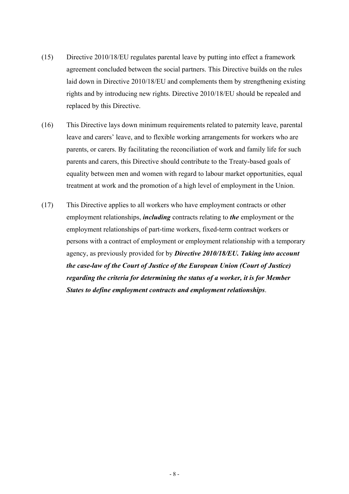- (15) Directive 2010/18/EU regulates parental leave by putting into effect a framework agreement concluded between the social partners. This Directive builds on the rules laid down in Directive 2010/18/EU and complements them by strengthening existing rights and by introducing new rights. Directive 2010/18/EU should be repealed and replaced by this Directive.
- (16) This Directive lays down minimum requirements related to paternity leave, parental leave and carers' leave, and to flexible working arrangements for workers who are parents, or carers. By facilitating the reconciliation of work and family life for such parents and carers, this Directive should contribute to the Treaty-based goals of equality between men and women with regard to labour market opportunities, equal treatment at work and the promotion of a high level of employment in the Union.
- (17) This Directive applies to all workers who have employment contracts or other employment relationships, *including* contracts relating to *the* employment or the employment relationships of part-time workers, fixed-term contract workers or persons with a contract of employment or employment relationship with a temporary agency, as previously provided for by *Directive 2010/18/EU. Taking into account the case-law of the Court of Justice of the European Union (Court of Justice) regarding the criteria for determining the status of a worker, it is for Member States to define employment contracts and employment relationships*.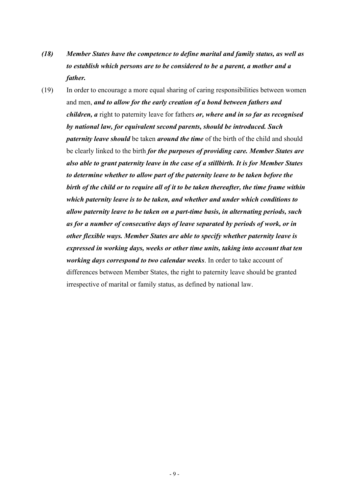- *(18) Member States have the competence to define marital and family status, as well as to establish which persons are to be considered to be a parent, a mother and a father.*
- (19) In order to encourage a more equal sharing of caring responsibilities between women and men, *and to allow for the early creation of a bond between fathers and children, a* right to paternity leave for fathers *or, where and in so far as recognised by national law, for equivalent second parents, should be introduced. Such paternity leave should* be taken *around the time* of the birth of the child and should be clearly linked to the birth *for the purposes of providing care. Member States are also able to grant paternity leave in the case of a stillbirth. It is for Member States to determine whether to allow part of the paternity leave to be taken before the birth of the child or to require all of it to be taken thereafter, the time frame within which paternity leave is to be taken, and whether and under which conditions to allow paternity leave to be taken on a part-time basis, in alternating periods, such as for a number of consecutive days of leave separated by periods of work, or in other flexible ways. Member States are able to specify whether paternity leave is expressed in working days, weeks or other time units, taking into account that ten working days correspond to two calendar weeks*. In order to take account of differences between Member States, the right to paternity leave should be granted irrespective of marital or family status, as defined by national law.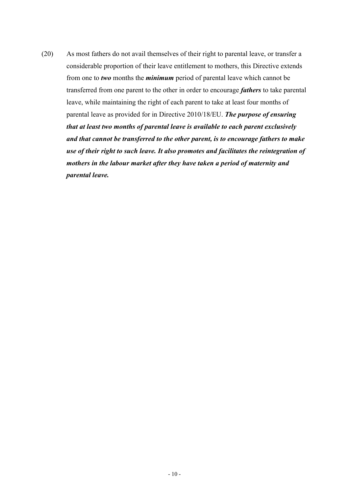(20) As most fathers do not avail themselves of their right to parental leave, or transfer a considerable proportion of their leave entitlement to mothers, this Directive extends from one to *two* months the *minimum* period of parental leave which cannot be transferred from one parent to the other in order to encourage *fathers* to take parental leave, while maintaining the right of each parent to take at least four months of parental leave as provided for in Directive 2010/18/EU. *The purpose of ensuring that at least two months of parental leave is available to each parent exclusively and that cannot be transferred to the other parent, is to encourage fathers to make use of their right to such leave. It also promotes and facilitates the reintegration of mothers in the labour market after they have taken a period of maternity and parental leave.*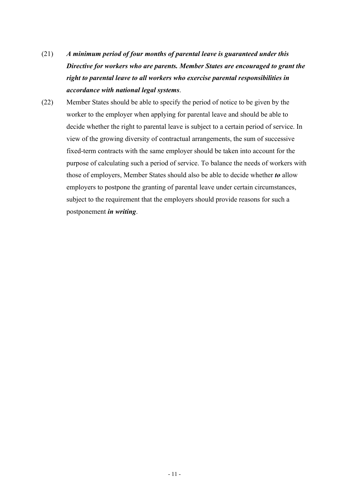- (21) *A minimum period of four months of parental leave is guaranteed under this Directive for workers who are parents. Member States are encouraged to grant the right to parental leave to all workers who exercise parental responsibilities in accordance with national legal systems*.
- (22) Member States should be able to specify the period of notice to be given by the worker to the employer when applying for parental leave and should be able to decide whether the right to parental leave is subject to a certain period of service. In view of the growing diversity of contractual arrangements, the sum of successive fixed-term contracts with the same employer should be taken into account for the purpose of calculating such a period of service. To balance the needs of workers with those of employers, Member States should also be able to decide whether *to* allow employers to postpone the granting of parental leave under certain circumstances, subject to the requirement that the employers should provide reasons for such a postponement *in writing*.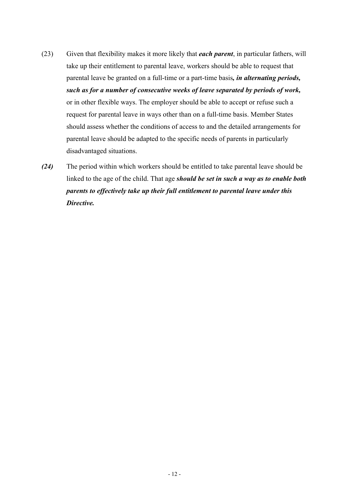- (23) Given that flexibility makes it more likely that *each parent*, in particular fathers, will take up their entitlement to parental leave, workers should be able to request that parental leave be granted on a full-time or a part-time basis*, in alternating periods, such as for a number of consecutive weeks of leave separated by periods of work,* or in other flexible ways. The employer should be able to accept or refuse such a request for parental leave in ways other than on a full-time basis. Member States should assess whether the conditions of access to and the detailed arrangements for parental leave should be adapted to the specific needs of parents in particularly disadvantaged situations.
- *(24)* The period within which workers should be entitled to take parental leave should be linked to the age of the child. That age *should be set in such a way as to enable both parents to effectively take up their full entitlement to parental leave under this Directive.*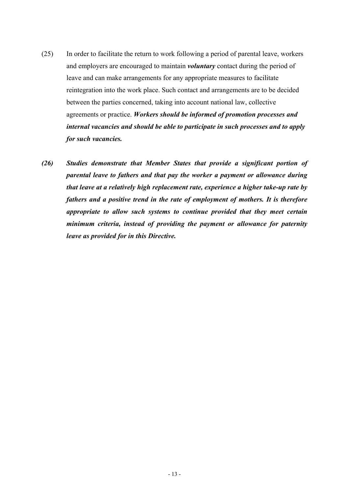- (25) In order to facilitate the return to work following a period of parental leave, workers and employers are encouraged to maintain *voluntary* contact during the period of leave and can make arrangements for any appropriate measures to facilitate reintegration into the work place. Such contact and arrangements are to be decided between the parties concerned, taking into account national law, collective agreements or practice. *Workers should be informed of promotion processes and internal vacancies and should be able to participate in such processes and to apply for such vacancies.*
- *(26) Studies demonstrate that Member States that provide a significant portion of parental leave to fathers and that pay the worker a payment or allowance during that leave at a relatively high replacement rate, experience a higher take-up rate by fathers and a positive trend in the rate of employment of mothers. It is therefore appropriate to allow such systems to continue provided that they meet certain minimum criteria, instead of providing the payment or allowance for paternity leave as provided for in this Directive.*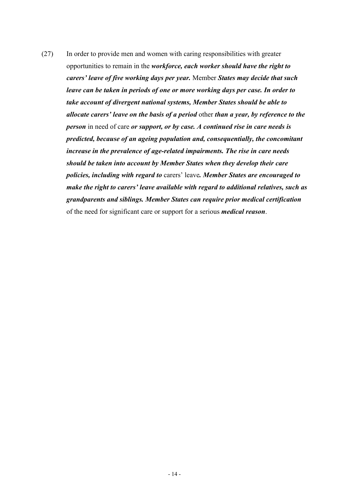(27) In order to provide men and women with caring responsibilities with greater opportunities to remain in the *workforce, each worker should have the right to carers' leave of five working days per year.* Member *States may decide that such leave can be taken in periods of one or more working days per case. In order to take account of divergent national systems, Member States should be able to allocate carers' leave on the basis of a period* other *than a year, by reference to the person* in need of care *or support, or by case. A continued rise in care needs is predicted, because of an ageing population and, consequentially, the concomitant increase in the prevalence of age-related impairments. The rise in care needs should be taken into account by Member States when they develop their care policies, including with regard to* carers' leave*. Member States are encouraged to make the right to carers' leave available with regard to additional relatives, such as grandparents and siblings. Member States can require prior medical certification* of the need for significant care or support for a serious *medical reason*.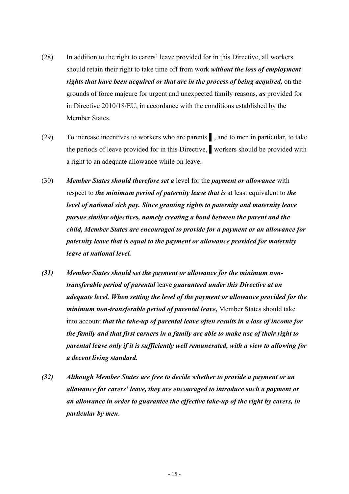- (28) In addition to the right to carers' leave provided for in this Directive, all workers should retain their right to take time off from work *without the loss of employment rights that have been acquired or that are in the process of being acquired,* on the grounds of force majeure for urgent and unexpected family reasons, *as* provided for in Directive 2010/18/EU, in accordance with the conditions established by the Member States.
- (29) To increase incentives to workers who are parents ▌, and to men in particular, to take the periods of leave provided for in this Directive, ▌workers should be provided with a right to an adequate allowance while on leave.
- (30) *Member States should therefore set a* level for the *payment or allowance* with respect to *the minimum period of paternity leave that is* at least equivalent to *the level of national sick pay. Since granting rights to paternity and maternity leave pursue similar objectives, namely creating a bond between the parent and the child, Member States are encouraged to provide for a payment or an allowance for paternity leave that is equal to the payment or allowance provided for maternity leave at national level.*
- *(31) Member States should set the payment or allowance for the minimum nontransferable period of parental* leave *guaranteed under this Directive at an adequate level. When setting the level of the payment or allowance provided for the minimum non-transferable period of parental leave,* Member States should take into account *that the take-up of parental leave often results in a loss of income for the family and that first earners in a family are able to make use of their right to parental leave only if it is sufficiently well remunerated, with a view to allowing for a decent living standard.*
- *(32) Although Member States are free to decide whether to provide a payment or an allowance for carers' leave, they are encouraged to introduce such a payment or an allowance in order to guarantee the effective take-up of the right by carers, in particular by men*.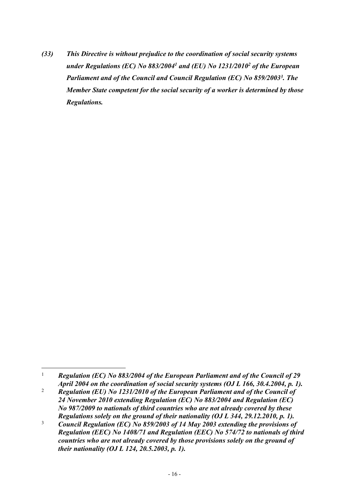*(33) This Directive is without prejudice to the coordination of social security systems under Regulations (EC) No 883/2004<sup>1</sup> and (EU) No 1231/2010<sup>2</sup> of the European Parliament and of the Council and Council Regulation (EC) No 859/2003<sup>3</sup> . The Member State competent for the social security of a worker is determined by those Regulations.*

<sup>1</sup>  *Regulation (EC) No 883/2004 of the European Parliament and of the Council of 29 April 2004 on the coordination of social security systems (OJ L 166, 30.4.2004, p. 1).*

<sup>2</sup>  *Regulation (EU) No 1231/2010 of the European Parliament and of the Council of 24 November 2010 extending Regulation (EC) No 883/2004 and Regulation (EC) No 987/2009 to nationals of third countries who are not already covered by these Regulations solely on the ground of their nationality (OJ L 344, 29.12.2010, p. 1).*

<sup>3</sup>  *Council Regulation (EC) No 859/2003 of 14 May 2003 extending the provisions of Regulation (EEC) No 1408/71 and Regulation (EEC) No 574/72 to nationals of third countries who are not already covered by those provisions solely on the ground of their nationality (OJ L 124, 20.5.2003, p. 1).*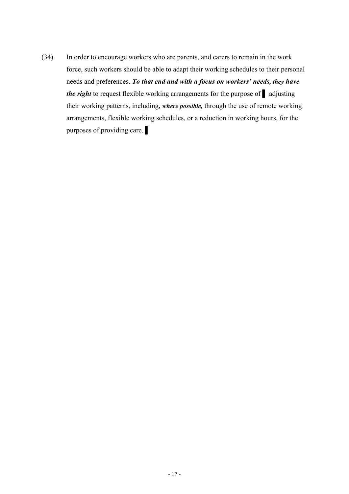(34) In order to encourage workers who are parents, and carers to remain in the work force, such workers should be able to adapt their working schedules to their personal needs and preferences. *To that end and with a focus on workers' needs, they have the right* to request flexible working arrangements for the purpose of ■ adjusting their working patterns, including*, where possible,* through the use of remote working arrangements, flexible working schedules, or a reduction in working hours, for the purposes of providing care.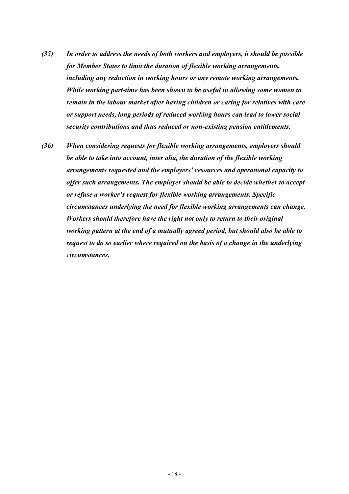- *(35) In order to address the needs of both workers and employers, it should be possible for Member States to limit the duration of flexible working arrangements, including any reduction in working hours or any remote working arrangements. While working part-time has been shown to be useful in allowing some women to remain in the labour market after having children or caring for relatives with care or support needs, long periods of reduced working hours can lead to lower social security contributions and thus reduced or non-existing pension entitlements.*
- *(36) When considering requests for flexible working arrangements, employers should be able to take into account, inter alia, the duration of the flexible working arrangements requested and the employers' resources and operational capacity to offer such arrangements. The employer should be able to decide whether to accept or refuse a worker's request for flexible working arrangements. Specific circumstances underlying the need for flexible working arrangements can change. Workers should therefore have the right not only to return to their original working pattern at the end of a mutually agreed period, but should also be able to request to do so earlier where required on the basis of a change in the underlying circumstances.*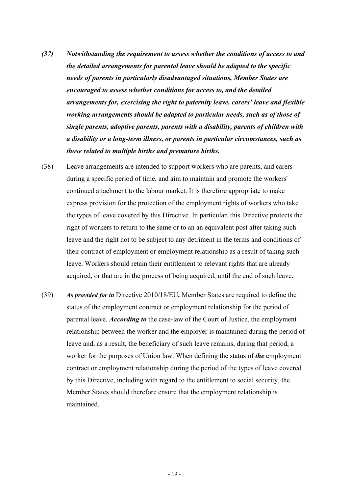- *(37) Notwithstanding the requirement to assess whether the conditions of access to and the detailed arrangements for parental leave should be adapted to the specific needs of parents in particularly disadvantaged situations, Member States are encouraged to assess whether conditions for access to, and the detailed arrangements for, exercising the right to paternity leave, carers' leave and flexible working arrangements should be adapted to particular needs, such as of those of single parents, adoptive parents, parents with a disability, parents of children with a disability or a long-term illness, or parents in particular circumstances, such as those related to multiple births and premature births.*
- (38) Leave arrangements are intended to support workers who are parents, and carers during a specific period of time, and aim to maintain and promote the workers' continued attachment to the labour market. It is therefore appropriate to make express provision for the protection of the employment rights of workers who take the types of leave covered by this Directive. In particular, this Directive protects the right of workers to return to the same or to an an equivalent post after taking such leave and the right not to be subject to any detriment in the terms and conditions of their contract of employment or employment relationship as a result of taking such leave. Workers should retain their entitlement to relevant rights that are already acquired, or that are in the process of being acquired, until the end of such leave.
- (39) *As provided for in* Directive 2010/18/EU*,* Member States are required to define the status of the employment contract or employment relationship for the period of parental leave. *According to* the case-law of the Court of Justice, the employment relationship between the worker and the employer is maintained during the period of leave and, as a result, the beneficiary of such leave remains, during that period, a worker for the purposes of Union law. When defining the status of *the* employment contract or employment relationship during the period of the types of leave covered by this Directive, including with regard to the entitlement to social security, the Member States should therefore ensure that the employment relationship is maintained.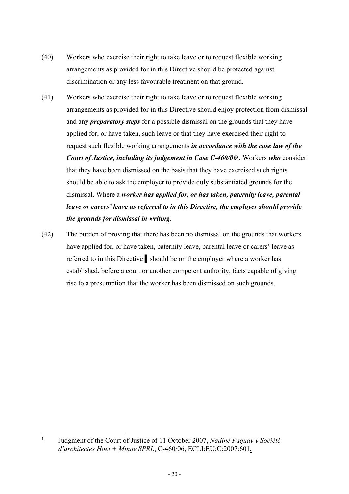- (40) Workers who exercise their right to take leave or to request flexible working arrangements as provided for in this Directive should be protected against discrimination or any less favourable treatment on that ground.
- (41) Workers who exercise their right to take leave or to request flexible working arrangements as provided for in this Directive should enjoy protection from dismissal and any *preparatory steps* for a possible dismissal on the grounds that they have applied for, or have taken, such leave or that they have exercised their right to request such flexible working arrangements *in accordance with the case law of the Court of Justice, including its judgement in Case C-460/06<sup>1</sup> .* Workers *who* consider that they have been dismissed on the basis that they have exercised such rights should be able to ask the employer to provide duly substantiated grounds for the dismissal. Where a *worker has applied for, or has taken, paternity leave, parental leave or carers' leave as referred to in this Directive, the employer should provide the grounds for dismissal in writing.*
- (42) The burden of proving that there has been no dismissal on the grounds that workers have applied for, or have taken, paternity leave, parental leave or carers' leave as referred to in this Directive ▌should be on the employer where a worker has established, before a court or another competent authority, facts capable of giving rise to a presumption that the worker has been dismissed on such grounds.

<sup>1</sup> Judgment of the Court of Justice of 11 October 2007, *Nadine Paquay v Société d'architectes Hoet + Minne SPRL*, C-460/06, ECLI:EU:C:2007:601*.*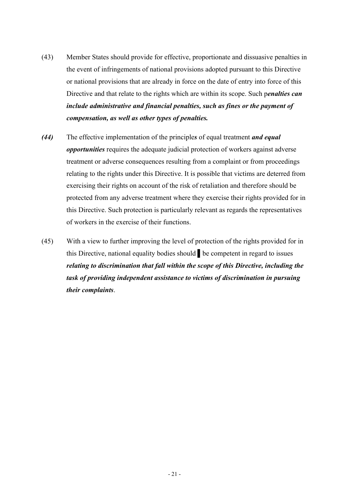- (43) Member States should provide for effective, proportionate and dissuasive penalties in the event of infringements of national provisions adopted pursuant to this Directive or national provisions that are already in force on the date of entry into force of this Directive and that relate to the rights which are within its scope. Such p*enalties can include administrative and financial penalties, such as fines or the payment of compensation, as well as other types of penalties.*
- *(44)* The effective implementation of the principle*s* of equal treatment *and equal opportunities* requires the adequate judicial protection of workers against adverse treatment or adverse consequences resulting from a complaint or from proceedings relating to the rights under this Directive. It is possible that victims are deterred from exercising their rights on account of the risk of retaliation and therefore should be protected from any adverse treatment where they exercise their rights provided for in this Directive. Such protection is particularly relevant as regards the representatives of workers in the exercise of their functions.
- (45) With a view to further improving the level of protection of the rights provided for in this Directive, national equality bodies should ▌be competent in regard to issues *relating to discrimination that fall within the scope of this Directive, including the task of providing independent assistance to victims of discrimination in pursuing their complaints*.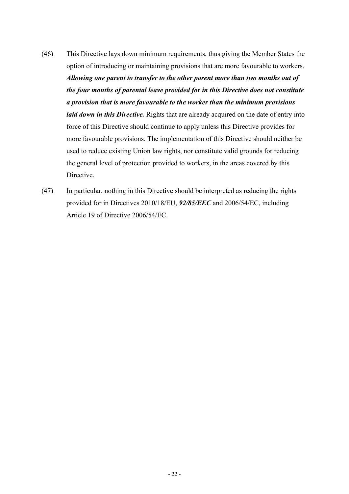- (46) This Directive lays down minimum requirements, thus giving the Member States the option of introducing or maintaining provisions that are more favourable to workers. *Allowing one parent to transfer to the other parent more than two months out of the four months of parental leave provided for in this Directive does not constitute a provision that is more favourable to the worker than the minimum provisions laid down in this Directive.* Rights that are already acquired on the date of entry into force of this Directive should continue to apply unless this Directive provides for more favourable provisions. The implementation of this Directive should neither be used to reduce existing Union law rights, nor constitute valid grounds for reducing the general level of protection provided to workers, in the areas covered by this **Directive**
- (47) In particular, nothing in this Directive should be interpreted as reducing the rights provided for in Directives 2010/18/EU, *92/85/EEC* and 2006/54/EC, including Article 19 of Directive 2006/54/EC.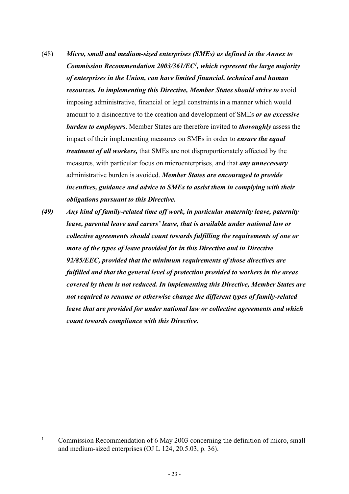- (48) *Micro, small and medium-sized enterprises (SMEs) as defined in the Annex to Commission Recommendation 2003/361/EC<sup>1</sup> , which represent the large majority of enterprises in the Union, can have limited financial, technical and human resources. In implementing this Directive, Member States should strive to* avoid imposing administrative, financial or legal constraints in a manner which would amount to a disincentive to the creation and development of SMEs *or an excessive burden to employers*. Member States are therefore invited to *thoroughly* assess the impact of their implementing measures on SMEs in order to *ensure the equal treatment of all workers,* that SMEs are not disproportionately affected by the measures, with particular focus on microenterprises, and that *any unnecessary* administrative burden is avoided. *Member States are encouraged to provide incentives, guidance and advice to SMEs to assist them in complying with their obligations pursuant to this Directive.*
- *(49) Any kind of family-related time off work, in particular maternity leave, paternity leave, parental leave and carers' leave, that is available under national law or collective agreements should count towards fulfilling the requirements of one or more of the types of leave provided for in this Directive and in Directive 92/85/EEC, provided that the minimum requirements of those directives are fulfilled and that the general level of protection provided to workers in the areas covered by them is not reduced. In implementing this Directive, Member States are not required to rename or otherwise change the different types of family-related leave that are provided for under national law or collective agreements and which count towards compliance with this Directive.*

<sup>1</sup> Commission Recommendation of 6 May 2003 concerning the definition of micro, small and medium-sized enterprises (OJ L 124, 20.5.03, p. 36).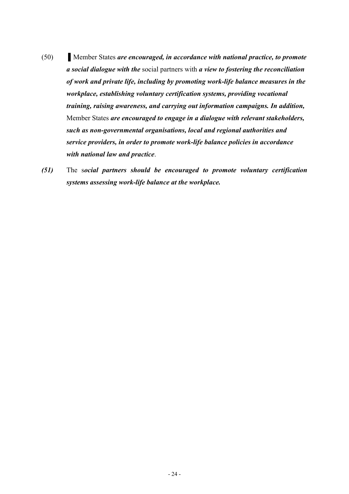- (50) ▌Member States *are encouraged, in accordance with national practice, to promote a social dialogue with the* social partners with *a view to fostering the reconciliation of work and private life, including by promoting work-life balance measures in the workplace, establishing voluntary certification systems, providing vocational training, raising awareness, and carrying out information campaigns. In addition,* Member States *are encouraged to engage in a dialogue with relevant stakeholders, such as non-governmental organisations, local and regional authorities and service providers, in order to promote work-life balance policies in accordance with national law and practice*.
- *(51)* The s*ocial partners should be encouraged to promote voluntary certification systems assessing work-life balance at the workplace.*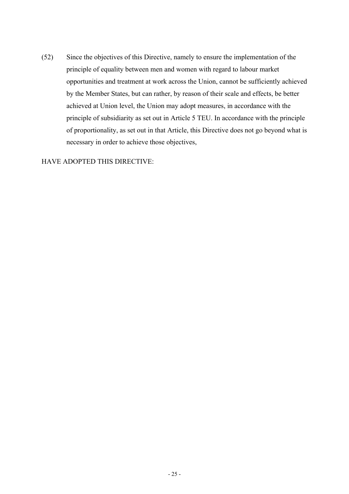(52) Since the objectives of this Directive, namely to ensure the implementation of the principle of equality between men and women with regard to labour market opportunities and treatment at work across the Union, cannot be sufficiently achieved by the Member States, but can rather, by reason of their scale and effects, be better achieved at Union level, the Union may adopt measures, in accordance with the principle of subsidiarity as set out in Article 5 TEU. In accordance with the principle of proportionality, as set out in that Article, this Directive does not go beyond what is necessary in order to achieve those objectives,

# HAVE ADOPTED THIS DIRECTIVE: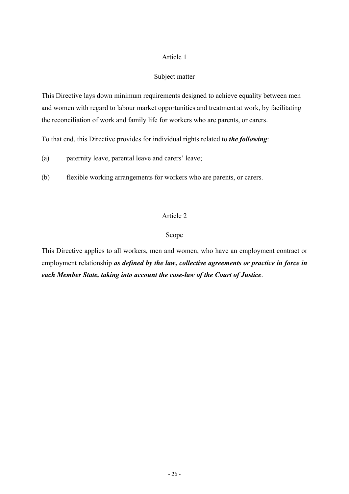## Subject matter

This Directive lays down minimum requirements designed to achieve equality between men and women with regard to labour market opportunities and treatment at work, by facilitating the reconciliation of work and family life for workers who are parents, or carers.

To that end, this Directive provides for individual rights related to *the following*:

(a) paternity leave, parental leave and carers' leave;

(b) flexible working arrangements for workers who are parents, or carers.

# Article 2

# Scope

This Directive applies to all workers, men and women, who have an employment contract or employment relationship *as defined by the law, collective agreements or practice in force in each Member State, taking into account the case-law of the Court of Justice*.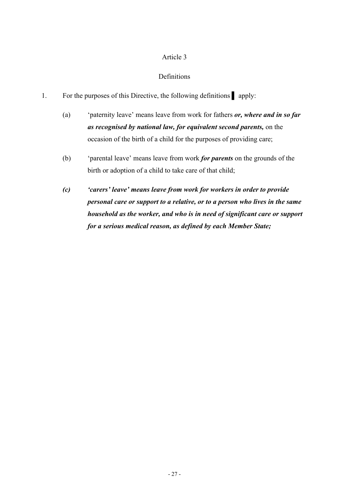# Definitions

- 1. For the purposes of this Directive, the following definitions **Direction** 
	- (a) 'paternity leave' means leave from work for fathers *or, where and in so far as recognised by national law, for equivalent second parents,* on the occasion of the birth of a child for the purposes of providing care;
	- (b) 'parental leave' means leave from work *for parents* on the grounds of the birth or adoption of a child to take care of that child;
	- *(c) 'carers' leave' means leave from work for workers in order to provide personal care or support to a relative, or to a person who lives in the same household as the worker, and who is in need of significant care or support for a serious medical reason, as defined by each Member State;*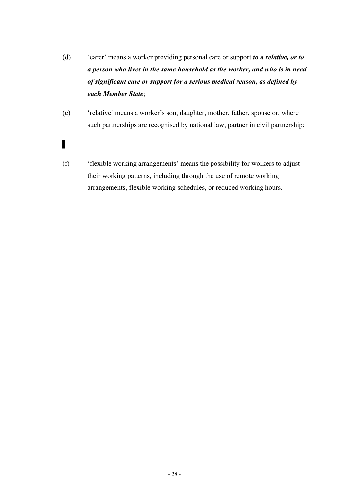- (d) 'carer' means a worker providing personal care or support *to a relative, or to a person who lives in the same household as the worker, and who is in need of significant care or support for a serious medical reason, as defined by each Member State*;
- (e) 'relative' means a worker's son, daughter, mother, father, spouse or, where such partnerships are recognised by national law, partner in civil partnership;
- ▌
- (f) 'flexible working arrangements' means the possibility for workers to adjust their working patterns, including through the use of remote working arrangements, flexible working schedules, or reduced working hours.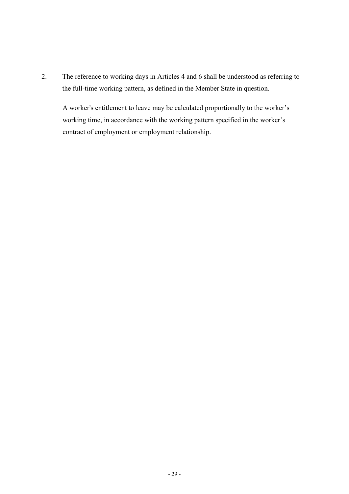2. The reference to working days in Articles 4 and 6 shall be understood as referring to the full-time working pattern, as defined in the Member State in question.

A worker's entitlement to leave may be calculated proportionally to the worker's working time, in accordance with the working pattern specified in the worker's contract of employment or employment relationship.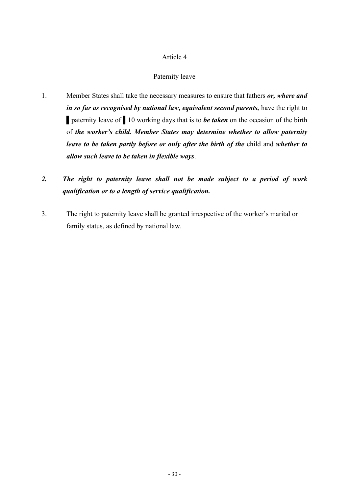# Paternity leave

1. Member States shall take the necessary measures to ensure that fathers *or, where and in so far as recognised by national law, equivalent second parents, have the right to* ▌paternity leave of ▌10 working days that is to *be taken* on the occasion of the birth of *the worker's child. Member States may determine whether to allow paternity leave to be taken partly before or only after the birth of the* child and *whether to allow such leave to be taken in flexible ways*.

# *2. The right to paternity leave shall not be made subject to a period of work qualification or to a length of service qualification.*

3. The right to paternity leave shall be granted irrespective of the worker's marital or family status, as defined by national law.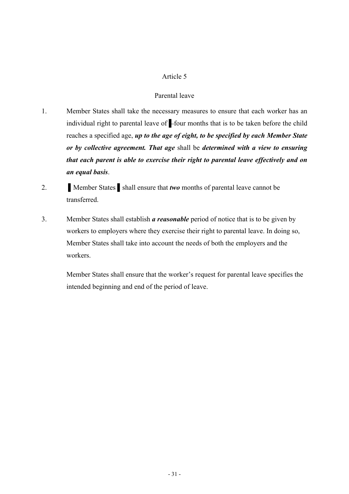### Parental leave

- 1. Member States shall take the necessary measures to ensure that each worker has an individual right to parental leave of *▌*four months that is to be taken before the child reaches a specified age, *up to the age of eight, to be specified by each Member State or by collective agreement. That age* shall be *determined with a view to ensuring that each parent is able to exercise their right to parental leave effectively and on an equal basis*.
- 2. **I**Member States **Shall ensure that** *two* **months of parental leave cannot be** transferred.
- 3. Member States shall establish *a reasonable* period of notice that is to be given by workers to employers where they exercise their right to parental leave. In doing so, Member States shall take into account the needs of both the employers and the workers.

Member States shall ensure that the worker's request for parental leave specifies the intended beginning and end of the period of leave.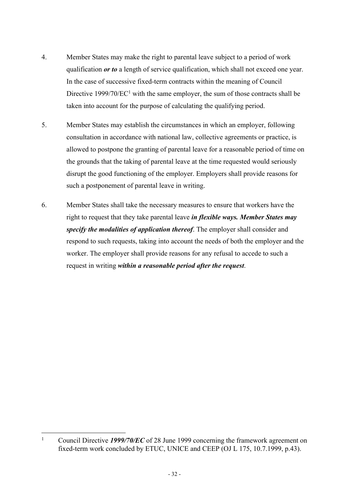- 4. Member States may make the right to parental leave subject to a period of work qualification *or to* a length of service qualification, which shall not exceed one year. In the case of successive fixed-term contracts within the meaning of Council Directive  $1999/70/EC<sup>1</sup>$  with the same employer, the sum of those contracts shall be taken into account for the purpose of calculating the qualifying period.
- 5. Member States may establish the circumstances in which an employer, following consultation in accordance with national law, collective agreements or practice, is allowed to postpone the granting of parental leave for a reasonable period of time on the grounds that the taking of parental leave at the time requested would seriously disrupt the good functioning of the employer. Employers shall provide reasons for such a postponement of parental leave in writing.
- 6. Member States shall take the necessary measures to ensure that workers have the right to request that they take parental leave *in flexible ways. Member States may specify the modalities of application thereof*. The employer shall consider and respond to such requests, taking into account the needs of both the employer and the worker. The employer shall provide reasons for any refusal to accede to such a request in writing *within a reasonable period after the request*.

<sup>1</sup> Council Directive *1999/70/EC* of 28 June 1999 concerning the framework agreement on fixed-term work concluded by ETUC, UNICE and CEEP (OJ L 175, 10.7.1999, p.43).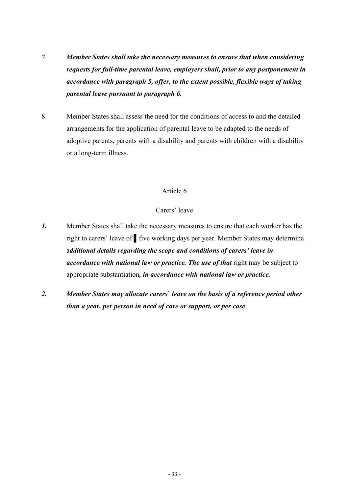- *7*. *Member States shall take the necessary measures to ensure that when considering requests for full-time parental leave, employers shall, prior to any postponement in accordance with paragraph 5, offer, to the extent possible, flexible ways of taking parental leave pursuant to paragraph 6.*
- 8. Member States shall assess the need for the conditions of access to and the detailed arrangements for the application of parental leave to be adapted to the needs of adoptive parents, parents with a disability and parents with children with a disability or a long-term illness.

# Carers' leave

- *1.* Member States shall take the necessary measures to ensure that each worker has the right to carers' leave of ▌five working days per year. Member States may determine a*dditional details regarding the scope and conditions of carers' leave in accordance with national law or practice. The use of that* right may be subject to appropriate substantiation*, in accordance with national law or practice.*
- *2. Member States may allocate carers*' *leave on the basis of a reference period other than a year, per person in need of care or support, or per case*.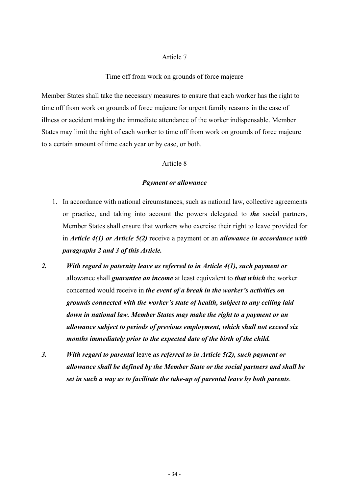#### Time off from work on grounds of force majeure

Member States shall take the necessary measures to ensure that each worker has the right to time off from work on grounds of force majeure for urgent family reasons in the case of illness or accident making the immediate attendance of the worker indispensable. Member States may limit the right of each worker to time off from work on grounds of force majeure to a certain amount of time each year or by case, or both.

## Article 8

#### *Payment or allowance*

- 1. In accordance with national circumstances, such as national law, collective agreements or practice, and taking into account the powers delegated to *the* social partners, Member States shall ensure that workers who exercise their right to leave provided for in *Article 4(1) or Article 5(2)* receive a payment or an *allowance in accordance with paragraphs 2 and 3 of this Article.*
- *2. With regard to paternity leave as referred to in Article 4(1), such payment or* allowance shall *guarantee an income* at least equivalent to *that which* the worker concerned would receive in *the event of a break in the worker's activities on grounds connected with the worker's state of health, subject to any ceiling laid down in national law. Member States may make the right to a payment or an allowance subject to periods of previous employment, which shall not exceed six months immediately prior to the expected date of the birth of the child.*
- *3. With regard to parental* leave *as referred to in Article 5(2), such payment or allowance shall be defined by the Member State or the social partners and shall be set in such a way as to facilitate the take-up of parental leave by both parents*.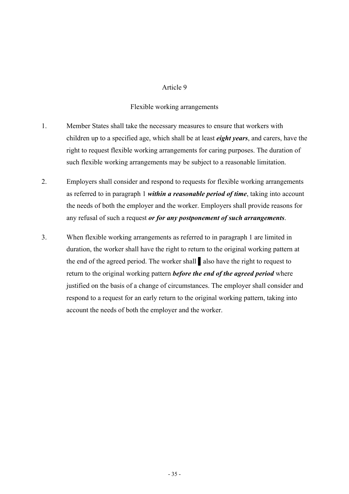# Flexible working arrangements

- 1. Member States shall take the necessary measures to ensure that workers with children up to a specified age, which shall be at least *eight years*, and carers, have the right to request flexible working arrangements for caring purposes. The duration of such flexible working arrangements may be subject to a reasonable limitation.
- 2. Employers shall consider and respond to requests for flexible working arrangements as referred to in paragraph 1 *within a reasonable period of time*, taking into account the needs of both the employer and the worker. Employers shall provide reasons for any refusal of such a request *or for any postponement of such arrangements*.
- 3. When flexible working arrangements as referred to in paragraph 1 are limited in duration, the worker shall have the right to return to the original working pattern at the end of the agreed period. The worker shall ▌also have the right to request to return to the original working pattern *before the end of the agreed period* where justified on the basis of a change of circumstances. The employer shall consider and respond to a request for an early return to the original working pattern, taking into account the needs of both the employer and the worker.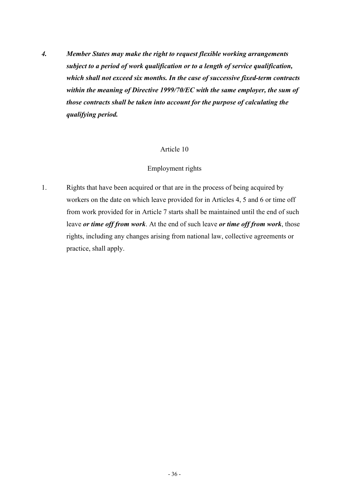*4. Member States may make the right to request flexible working arrangements subject to a period of work qualification or to a length of service qualification, which shall not exceed six months. In the case of successive fixed-term contracts within the meaning of Directive 1999/70/EC with the same employer, the sum of those contracts shall be taken into account for the purpose of calculating the qualifying period.*

# Article 10

# Employment rights

1. Rights that have been acquired or that are in the process of being acquired by workers on the date on which leave provided for in Articles 4, 5 and 6 or time off from work provided for in Article 7 starts shall be maintained until the end of such leave *or time off from work*. At the end of such leave *or time off from work*, those rights, including any changes arising from national law, collective agreements or practice, shall apply.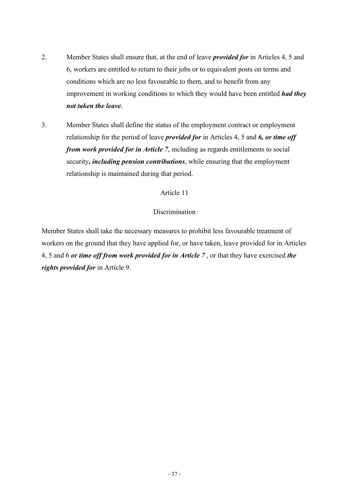- 2. Member States shall ensure that, at the end of leave *provided for* in Articles 4, 5 and 6, workers are entitled to return to their jobs or to equivalent posts on terms and conditions which are no less favourable to them, and to benefit from any improvement in working conditions to which they would have been entitled *had they not taken the leave*.
- 3. Member States shall define the status of the employment contract or employment relationship for the period of leave *provided for* in Articles 4, 5 and *6, or time off from work provided for in Article 7*, including as regards entitlements to social security*, including pension contributions*, while ensuring that the employment relationship is maintained during that period.

### Discrimination

Member States shall take the necessary measures to prohibit less favourable treatment of workers on the ground that they have applied for, or have taken, leave provided for in Articles 4, 5 and 6 *or time off from work provided for in Article 7* , or that they have exercised *the rights provided for* in Article 9.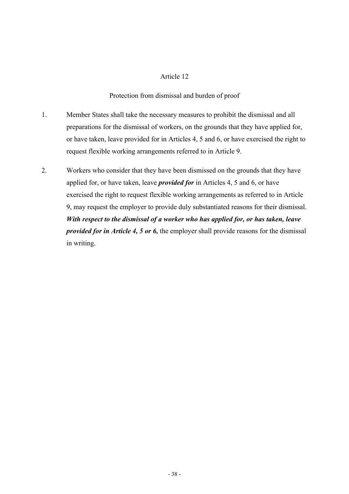Protection from dismissal and burden of proof

- 1. Member States shall take the necessary measures to prohibit the dismissal and all preparations for the dismissal of workers, on the grounds that they have applied for, or have taken, leave provided for in Articles 4, 5 and 6, or have exercised the right to request flexible working arrangements referred to in Article 9.
- 2. Workers who consider that they have been dismissed on the grounds that they have applied for, or have taken, leave *provided for* in Articles 4, 5 and 6, or have exercised the right to request flexible working arrangements as referred to in Article 9, may request the employer to provide duly substantiated reasons for their dismissal. *With respect to the dismissal of a worker who has applied for, or has taken, leave provided for in Article 4, 5 or 6,* the employer shall provide reasons for the dismissal in writing.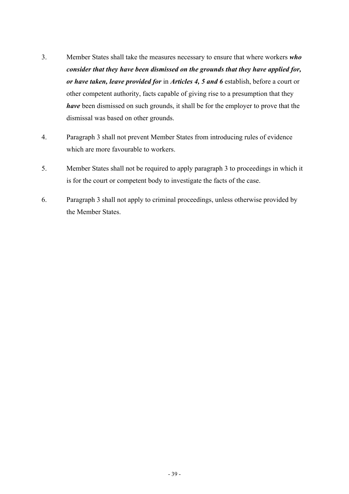- 3. Member States shall take the measures necessary to ensure that where workers *who consider that they have been dismissed on the grounds that they have applied for, or have taken, leave provided for* in *Articles 4, 5 and 6* establish, before a court or other competent authority, facts capable of giving rise to a presumption that they *have* been dismissed on such grounds, it shall be for the employer to prove that the dismissal was based on other grounds.
- 4. Paragraph 3 shall not prevent Member States from introducing rules of evidence which are more favourable to workers.
- 5. Member States shall not be required to apply paragraph 3 to proceedings in which it is for the court or competent body to investigate the facts of the case.
- 6. Paragraph 3 shall not apply to criminal proceedings, unless otherwise provided by the Member States.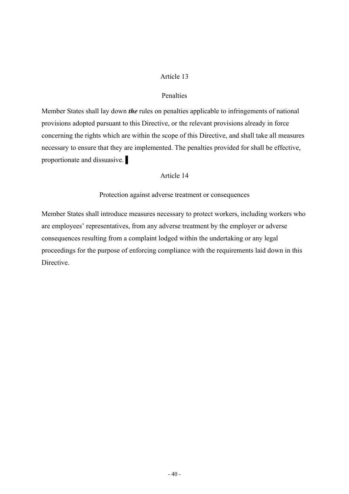### Penalties

Member States shall lay down *the* rules on penalties applicable to infringements of national provisions adopted pursuant to this Directive, or the relevant provisions already in force concerning the rights which are within the scope of this Directive, and shall take all measures necessary to ensure that they are implemented. The penalties provided for shall be effective, proportionate and dissuasive.

#### Article 14

Protection against adverse treatment or consequences

Member States shall introduce measures necessary to protect workers, including workers who are employees' representatives, from any adverse treatment by the employer or adverse consequences resulting from a complaint lodged within the undertaking or any legal proceedings for the purpose of enforcing compliance with the requirements laid down in this **Directive**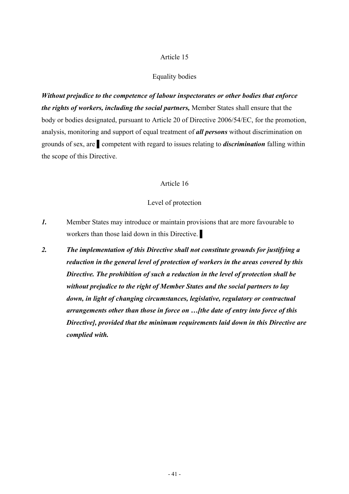#### Equality bodies

*Without prejudice to the competence of labour inspectorates or other bodies that enforce the rights of workers, including the social partners,* Member States shall ensure that the body or bodies designated, pursuant to Article 20 of Directive 2006/54/EC, for the promotion, analysis, monitoring and support of equal treatment of *all persons* without discrimination on grounds of sex, are ▌competent with regard to issues relating to *discrimination* falling within the scope of this Directive.

## Article 16

# Level of protection

- *1.* Member States may introduce or maintain provisions that are more favourable to workers than those laid down in this Directive.
- *2. The implementation of this Directive shall not constitute grounds for justifying a reduction in the general level of protection of workers in the areas covered by this Directive. The prohibition of such a reduction in the level of protection shall be without prejudice to the right of Member States and the social partners to lay down, in light of changing circumstances, legislative, regulatory or contractual arrangements other than those in force on …[the date of entry into force of this Directive], provided that the minimum requirements laid down in this Directive are complied with.*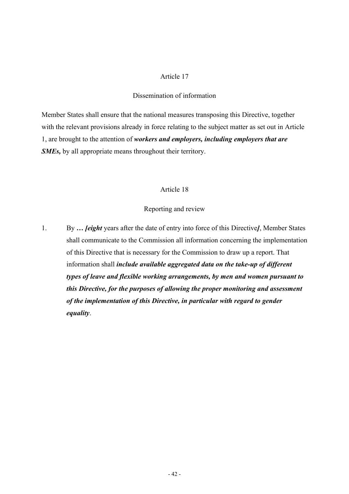#### Dissemination of information

Member States shall ensure that the national measures transposing this Directive, together with the relevant provisions already in force relating to the subject matter as set out in Article 1, are brought to the attention of *workers and employers, including employers that are SMEs,* by all appropriate means throughout their territory.

### Article 18

## Reporting and review

1. By *… [eight* years after the date of entry into force of this Directive*]*, Member States shall communicate to the Commission all information concerning the implementation of this Directive that is necessary for the Commission to draw up a report. That information shall *include available aggregated data on the take-up of different types of leave and flexible working arrangements, by men and women pursuant to this Directive, for the purposes of allowing the proper monitoring and assessment of the implementation of this Directive, in particular with regard to gender equality*.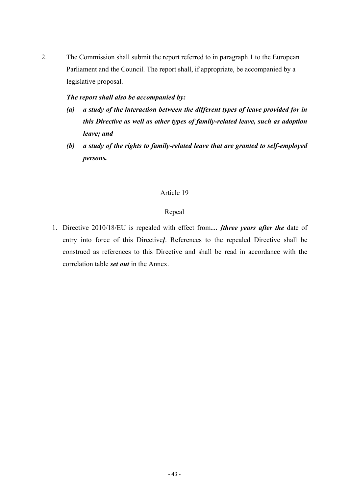2. The Commission shall submit the report referred to in paragraph 1 to the European Parliament and the Council. The report shall, if appropriate, be accompanied by a legislative proposal.

# *The report shall also be accompanied by:*

- *(a) a study of the interaction between the different types of leave provided for in this Directive as well as other types of family-related leave, such as adoption leave; and*
- *(b) a study of the rights to family-related leave that are granted to self-employed persons.*

# Article 19

# Repeal

1. Directive 2010/18/EU is repealed with effect from*… [three years after the* date of entry into force of this Directive*]*. References to the repealed Directive shall be construed as references to this Directive and shall be read in accordance with the correlation table *set out* in the Annex.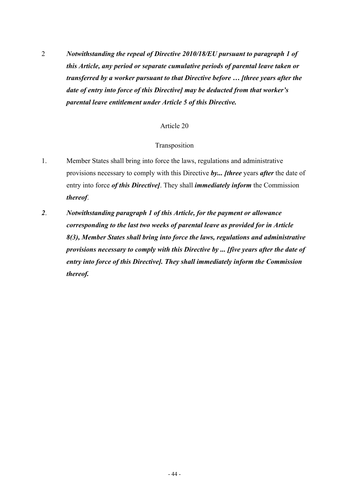2 *Notwithstanding the repeal of Directive 2010/18/EU pursuant to paragraph 1 of this Article, any period or separate cumulative periods of parental leave taken or transferred by a worker pursuant to that Directive before … [three years after the date of entry into force of this Directive] may be deducted from that worker's parental leave entitlement under Article 5 of this Directive.*

# Article 20

# Transposition

- 1. Member States shall bring into force the laws, regulations and administrative provisions necessary to comply with this Directive *by... [three* years *after* the date of entry into force *of this Directive]*. They shall *immediately inform* the Commission *thereof*.
- *2*. *Notwithstanding paragraph 1 of this Article, for the payment or allowance corresponding to the last two weeks of parental leave as provided for in Article 8(3), Member States shall bring into force the laws, regulations and administrative provisions necessary to comply with this Directive by ... [five years after the date of entry into force of this Directive]. They shall immediately inform the Commission thereof.*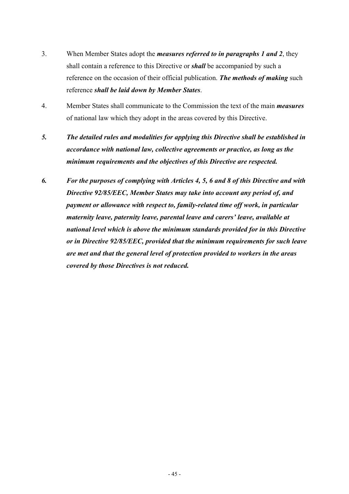- 3. When Member States adopt the *measures referred to in paragraphs 1 and 2*, they shall contain a reference to this Directive or *shall* be accompanied by such a reference on the occasion of their official publication. *The methods of making* such reference *shall be laid down by Member States*.
- 4. Member States shall communicate to the Commission the text of the main *measures* of national law which they adopt in the areas covered by this Directive.
- *5. The detailed rules and modalities for applying this Directive shall be established in accordance with national law, collective agreements or practice, as long as the minimum requirements and the objectives of this Directive are respected.*
- *6. For the purposes of complying with Articles 4, 5, 6 and 8 of this Directive and with Directive 92/85/EEC, Member States may take into account any period of, and payment or allowance with respect to, family-related time off work, in particular maternity leave, paternity leave, parental leave and carers' leave, available at national level which is above the minimum standards provided for in this Directive or in Directive 92/85/EEC, provided that the minimum requirements for such leave are met and that the general level of protection provided to workers in the areas covered by those Directives is not reduced.*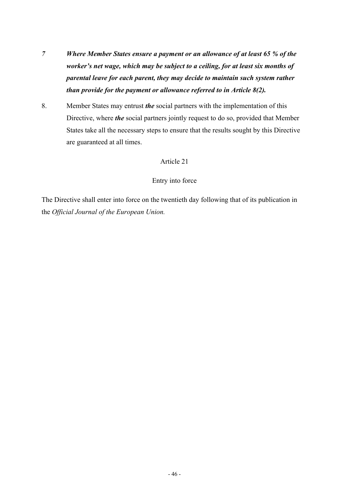- *7 Where Member States ensure a payment or an allowance of at least 65 % of the worker's net wage, which may be subject to a ceiling, for at least six months of parental leave for each parent, they may decide to maintain such system rather than provide for the payment or allowance referred to in Article 8(2).*
- 8. Member States may entrust *the* social partners with the implementation of this Directive, where *the* social partners jointly request to do so, provided that Member States take all the necessary steps to ensure that the results sought by this Directive are guaranteed at all times.

# Entry into force

The Directive shall enter into force on the twentieth day following that of its publication in the *Official Journal of the European Union.*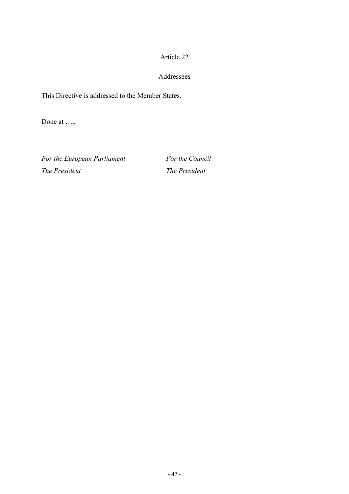# Addressees

This Directive is addressed to the Member States.

Done at ….,

For the European Parliament For the Council *The President The President*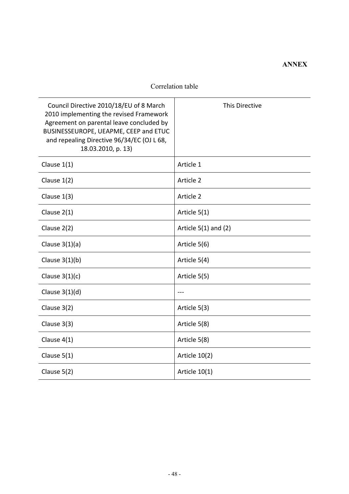# **ANNEX**

# Correlation table

| Council Directive 2010/18/EU of 8 March<br>2010 implementing the revised Framework<br>Agreement on parental leave concluded by<br>BUSINESSEUROPE, UEAPME, CEEP and ETUC<br>and repealing Directive 96/34/EC (OJ L 68,<br>18.03.2010, p. 13) | This Directive           |
|---------------------------------------------------------------------------------------------------------------------------------------------------------------------------------------------------------------------------------------------|--------------------------|
| Clause $1(1)$                                                                                                                                                                                                                               | Article 1                |
| Clause $1(2)$                                                                                                                                                                                                                               | Article 2                |
| Clause $1(3)$                                                                                                                                                                                                                               | Article 2                |
| Clause $2(1)$                                                                                                                                                                                                                               | Article 5(1)             |
| Clause 2(2)                                                                                                                                                                                                                                 | Article $5(1)$ and $(2)$ |
| Clause $3(1)(a)$                                                                                                                                                                                                                            | Article 5(6)             |
| Clause $3(1)(b)$                                                                                                                                                                                                                            | Article 5(4)             |
| Clause $3(1)(c)$                                                                                                                                                                                                                            | Article 5(5)             |
| Clause $3(1)(d)$                                                                                                                                                                                                                            |                          |
| Clause 3(2)                                                                                                                                                                                                                                 | Article 5(3)             |
| Clause $3(3)$                                                                                                                                                                                                                               | Article 5(8)             |
| Clause $4(1)$                                                                                                                                                                                                                               | Article 5(8)             |
| Clause $5(1)$                                                                                                                                                                                                                               | Article 10(2)            |
| Clause 5(2)                                                                                                                                                                                                                                 | Article $10(1)$          |